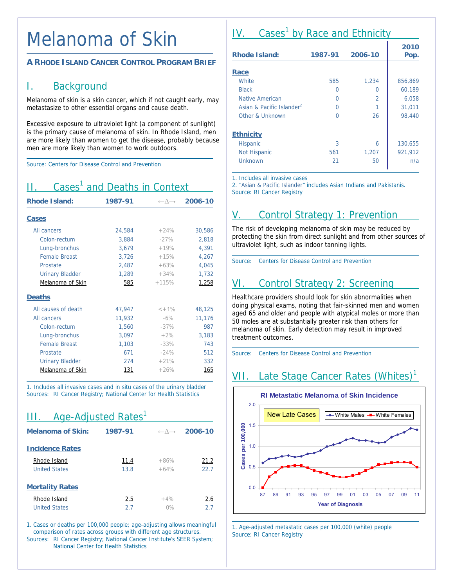#### Melanoma of Skin

#### **A RHODE ISLAND CANCER CONTROL PROGRAM BRIEF**

#### I. Background

Melanoma of skin is a skin cancer, which if not caught early, may metastasize to other essential organs and cause death.

Excessive exposure to ultraviolet light (a component of sunlight) is the primary cause of melanoma of skin. In Rhode Island, men are more likely than women to get the disease, probably because men are more likely than women to work outdoors.

Source: Centers for Disease Control and Prevention

### II. Cases<sup>1</sup> and Deaths in Context

| <b>Rhode Island:</b>   | 1987-91 | $\leftarrow \wedge \rightarrow$ | 2006-10 |
|------------------------|---------|---------------------------------|---------|
| <b>Cases</b>           |         |                                 |         |
| All cancers            | 24,584  | $+24%$                          | 30,586  |
| Colon-rectum           | 3,884   | $-27%$                          | 2,818   |
| Lung-bronchus          | 3,679   | $+19%$                          | 4,391   |
| <b>Female Breast</b>   | 3,726   | $+15%$                          | 4,267   |
| Prostate               | 2,487   | $+63%$                          | 4,045   |
| <b>Urinary Bladder</b> | 1,289   | $+34%$                          | 1,732   |
| Melanoma of Skin       | 585     | $+115%$                         | 1,258   |
| <b>Deaths</b>          |         |                                 |         |
| All causes of death    | 47,947  | $< +1\%$                        | 48,125  |
| All cancers            | 11,932  | $-6\%$                          | 11,176  |
| Colon-rectum           | 1,560   | $-37%$                          | 987     |
| Lung-bronchus          | 3,097   | $+2%$                           | 3,183   |
| <b>Female Breast</b>   | 1,103   | $-33%$                          | 743     |
| Prostate               | 671     | $-24%$                          | 512     |
| <b>Urinary Bladder</b> | 274     | $+21%$                          | 332     |
| Melanoma of Skin       | 131     | $+26%$                          | 165     |

1. Includes all invasive cases and in situ cases of the urinary bladder Sources: RI Cancer Registry; National Center for Health Statistics

### III. Age-Adjusted Rates<sup>1</sup>

| <b>Melanoma of Skin:</b> | 1987-91 | $\leftarrow \wedge \rightarrow$ | 2006-10 |
|--------------------------|---------|---------------------------------|---------|
| <b>Incidence Rates</b>   |         |                                 |         |
| Rhode Island             | 11.4    | $+86%$                          | 21.2    |
| <b>United States</b>     | 13.8    | $+64%$                          | 22.7    |
| <b>Mortality Rates</b>   |         |                                 |         |
| Rhode Island             | 2.5     | $+4%$                           | 2.6     |
| <b>United States</b>     | 2.7     | 0%                              | 27      |

1. Cases or deaths per 100,000 people; age-adjusting allows meaningful comparison of rates across groups with different age structures. Sources: RI Cancer Registry; National Cancer Institute's SEER System; National Center for Health Statistics

# IV. Cases<sup>1</sup> by Race and Ethnicity

| <b>Rhode Island:</b>                  | 1987-91 | 2006-10 | 2010<br>Pop. |
|---------------------------------------|---------|---------|--------------|
| Race                                  |         |         |              |
| White                                 | 585     | 1,234   | 856,869      |
|                                       |         |         |              |
| <b>Black</b>                          | Ω       | O       | 60,189       |
| Native American                       | Ω       | 2       | 6,058        |
| Asian & Pacific Islander <sup>2</sup> | ∩       |         | 31,011       |
| Other & Unknown                       | U       | 26      | 98,440       |
| <b>Ethnicity</b>                      |         |         |              |
| Hispanic                              | 3       | 6       | 130,655      |
| <b>Not Hispanic</b>                   | 561     | 1,207   | 921,912      |
| Unknown                               | 21      | 50      | n/a          |

1. Includes all invasive cases

2. "Asian & Pacific Islander" includes Asian Indians and Pakistanis. Source: RI Cancer Registry

# V. Control Strategy 1: Prevention

The risk of developing melanoma of skin may be reduced by protecting the skin from direct sunlight and from other sources of ultraviolet light, such as indoor tanning lights.

Source: Centers for Disease Control and Prevention

# VI. Control Strategy 2: Screening

Healthcare providers should look for skin abnormalities when doing physical exams, noting that fair-skinned men and women aged 65 and older and people with atypical moles or more than 50 moles are at substantially greater risk than others for melanoma of skin. Early detection may result in improved treatment outcomes.

Source: Centers for Disease Control and Prevention

# VII. Late Stage Cancer Rates (Whites)<sup>1</sup>



1. Age-adjusted metastatic cases per 100,000 (white) people Source: RI Cancer Registry